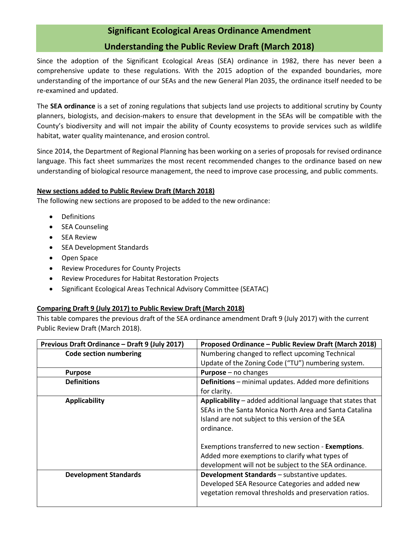## **Significant Ecological Areas Ordinance Amendment Understanding the Public Review Draft (March 2018)**

Since the adoption of the Significant Ecological Areas (SEA) ordinance in 1982, there has never been a comprehensive update to these regulations. With the 2015 adoption of the expanded boundaries, more understanding of the importance of our SEAs and the new General Plan 2035, the ordinance itself needed to be re-examined and updated.

The **SEA ordinance** is a set of zoning regulations that subjects land use projects to additional scrutiny by County planners, biologists, and decision-makers to ensure that development in the SEAs will be compatible with the County's biodiversity and will not impair the ability of County ecosystems to provide services such as wildlife habitat, water quality maintenance, and erosion control.

Since 2014, the Department of Regional Planning has been working on a series of proposals for revised ordinance language. This fact sheet summarizes the most recent recommended changes to the ordinance based on new understanding of biological resource management, the need to improve case processing, and public comments.

## **New sections added to Public Review Draft (March 2018)**

The following new sections are proposed to be added to the new ordinance:

- Definitions
- SEA Counseling
- SEA Review
- SEA Development Standards
- Open Space
- Review Procedures for County Projects
- Review Procedures for Habitat Restoration Projects
- Significant Ecological Areas Technical Advisory Committee (SEATAC)

## **Comparing Draft 9 (July 2017) to Public Review Draft (March 2018)**

This table compares the previous draft of the SEA ordinance amendment Draft 9 (July 2017) with the current Public Review Draft (March 2018).

| Previous Draft Ordinance - Draft 9 (July 2017) | Proposed Ordinance - Public Review Draft (March 2018)        |
|------------------------------------------------|--------------------------------------------------------------|
| <b>Code section numbering</b>                  | Numbering changed to reflect upcoming Technical              |
|                                                | Update of the Zoning Code ("TU") numbering system.           |
| <b>Purpose</b>                                 | <b>Purpose</b> $-$ no changes                                |
| <b>Definitions</b>                             | <b>Definitions</b> – minimal updates. Added more definitions |
|                                                | for clarity.                                                 |
| <b>Applicability</b>                           | Applicability - added additional language that states that   |
|                                                | SEAs in the Santa Monica North Area and Santa Catalina       |
|                                                | Island are not subject to this version of the SEA            |
|                                                | ordinance.                                                   |
|                                                |                                                              |
|                                                | Exemptions transferred to new section - Exemptions.          |
|                                                | Added more exemptions to clarify what types of               |
|                                                | development will not be subject to the SEA ordinance.        |
| <b>Development Standards</b>                   | Development Standards - substantive updates.                 |
|                                                | Developed SEA Resource Categories and added new              |
|                                                | vegetation removal thresholds and preservation ratios.       |
|                                                |                                                              |